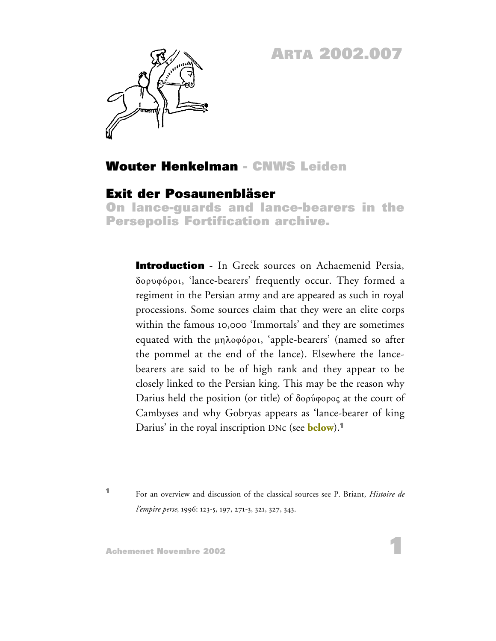# **ARTA 2002.007**



# **Wouter Henkelman - CNWS Leiden**

## **Exit der Posaunenbläser**

**On lance-guards and lance-bearers in the Persepolis Fortification archive.**

**Introduction** - In Greek sources on Achaemenid Persia, dorufÒroi, 'lance-bearers' frequently occur. They formed a regiment in the Persian army and are appeared as such in royal processions. Some sources claim that they were an elite corps within the famous 10,000 'Immortals' and they are sometimes equated with the μηλοφόροι, 'apple-bearers' (named so after the pommel at the end of the lance). Elsewhere the lancebearers are said to be of high rank and they appear to be closely linked to the Persian king. This may be the reason why Darius held the position (or title) of  $\delta$ ορύφορος at the court of Cambyses and why Gobryas appears as 'lance-bearer of king Darius' in the royal inscription DNc (see **below**).**<sup>1</sup>**

**<sup>1</sup>** For an overview and discussion of the classical sources see P. Briant, *Histoire de l'empire perse*, 1996: 123-5, 197, 271-3, 321, 327, 343.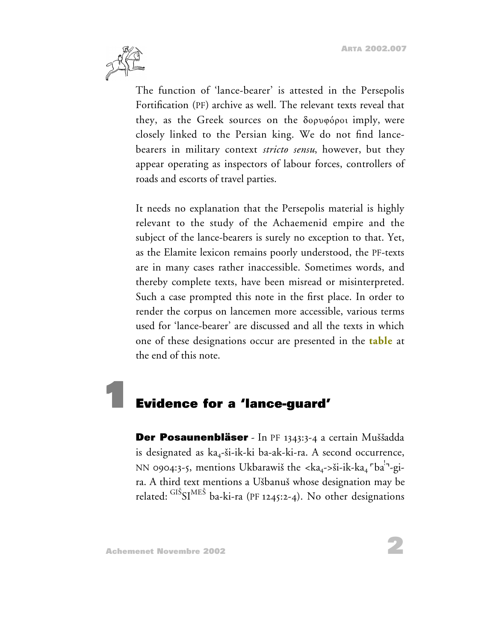

The function of 'lance-bearer' is attested in the Persepolis Fortification (PF) archive as well. The relevant texts reveal that they, as the Greek sources on the δορυφόροι imply, were closely linked to the Persian king. We do not find lancebearers in military context *stricto sensu*, however, but they appear operating as inspectors of labour forces, controllers of roads and escorts of travel parties.

It needs no explanation that the Persepolis material is highly relevant to the study of the Achaemenid empire and the subject of the lance-bearers is surely no exception to that. Yet, as the Elamite lexicon remains poorly understood, the PF-texts are in many cases rather inaccessible. Sometimes words, and thereby complete texts, have been misread or misinterpreted. Such a case prompted this note in the first place. In order to render the corpus on lancemen more accessible, various terms used for 'lance-bearer' are discussed and all the texts in which one of these designations occur are presented in the **table** at the end of this note.

# **1 Evidence for a 'lance-guard'**

**Der Posaunenbläser** - In PF 1343:3-4 a certain Muššadda is designated as ka<sub>4</sub>-ši-ik-ki ba-ak-ki-ra. A second occurrence, NN 0904:3-5, mentions Ukbarawiš the <ka<sub>4</sub>->ši-ik-ka<sub>4</sub> <sup>r</sup>ba<sup>!¬</sup>-gira. A third text mentions a Usbanus whose designation may be related: <sup>GIS</sup>SI<sup>MES</sup> ba-ki-ra (PF 1245:2-4). No other designations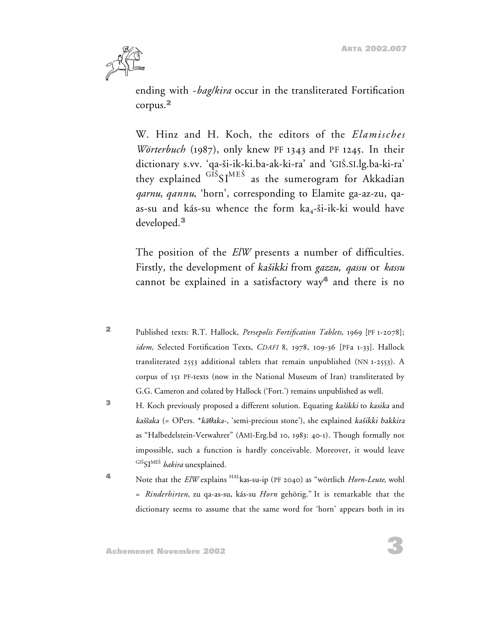

ending with -*bag/kira* occur in the transliterated Fortification corpus.**<sup>2</sup>**

W. Hinz and H. Koch, the editors of the *Elamisches Wörterbuch* (1987), only knew PF 1343 and PF 1245. In their dictionary s.vv. 'qa-si-ik-ki.ba-ak-ki-ra' and 'GIS.SI.lg.ba-ki-ra' they explained  $\mathrm{^{GIS}S I^{MES}}$  as the sumerogram for Akkadian *qarnu*, *qannu*, 'horn', corresponding to Elamite ga-az-zu, qaas-su and kás-su whence the form  $ka_4$ -ši-ik-ki would have developed.**<sup>3</sup>**

The position of the *ElW* presents a number of difficulties. Firstly, the development of kasikki from *gazzu*, *qassu* or *kassu* cannot be explained in a satisfactory way**<sup>4</sup>** and there is no

- **<sup>2</sup>** Published texts: R.T. Hallock, *Persepolis Fortification Tablets,* 1969 [PF 1-2078]; *idem,* Selected Fortification Texts, *CDAFI* 8, 1978, 109-36 [PFa 1-33]. Hallock transliterated 2553 additional tablets that remain unpublished (NN 1-2553). A corpus of 151 PF-texts (now in the National Museum of Iran) transliterated by G.G. Cameron and colated by Hallock ('Fort.') remains unpublished as well.
- **<sup>3</sup>** H. Koch previously proposed a different solution. Equating kasikki to kasika and  $k$ aššaka (= OPers. \* $k\bar{a}\theta$ aka-, 'semi-precious stone'), she explained kašikki bakkira as "Halbedelstein-Verwahrer" (AMI-Erg.bd 10, 1983: 40-1). Though formally not impossible, such a function is hardly conceivable. Moreover, it would leave <sup>GIŠ</sup>SI<sup>MEŠ</sup> *bakira* unexplained.
- **<sup>4</sup>** Note that the *ElW* explains HALkas-su-ip (PF 2040) as "wörtlich *Horn-Leute*, wohl = *Rinderhirten*, zu qa-as-su, kás-su *Horn* gehörig." It is remarkable that the dictionary seems to assume that the same word for 'horn' appears both in its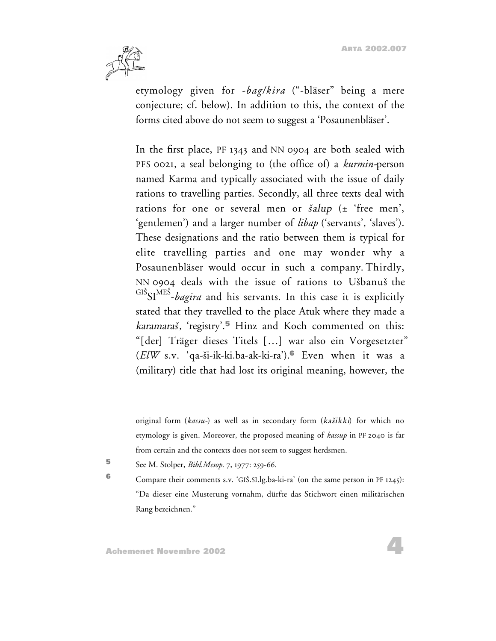

etymology given for -*bag/kira* ("-bläser" being a mere conjecture; cf. below). In addition to this, the context of the forms cited above do not seem to suggest a 'Posaunenbläser'.

In the first place, PF 1343 and NN 0904 are both sealed with PFS 0021, a seal belonging to (the office of) a *kurmin-*person named Karma and typically associated with the issue of daily rations to travelling parties. Secondly, all three texts deal with rations for one or several men or  $\delta$ alup ( $\pm$  'free men', 'gentlemen') and a larger number of *libap* ('servants', 'slaves'). These designations and the ratio between them is typical for elite travelling parties and one may wonder why a Posaunenbläser would occur in such a company. Thirdly, NN 0904 deals with the issue of rations to Usbanus the GIS SIME<sup>S</sup> -*bagira* and his servants. In this case it is explicitly stated that they travelled to the place Atuk where they made a karamaras, 'registry'.**<sup>5</sup>** Hinz and Koch commented on this: "[der] Träger dieses Titels […] war also ein Vorgesetzter" (*ElW* s.v. 'qa-si-ik-ki.ba-ak-ki-ra').**<sup>6</sup>** Even when it was a (military) title that had lost its original meaning, however, the

original form (*kassu-*) as well as in secondary form (kasikki) for which no etymology is given. Moreover, the proposed meaning of *kassup* in PF 2040 is far from certain and the contexts does not seem to suggest herdsmen.

**<sup>5</sup>** See M. Stolper, *Bibl.Mesop*. 7, 1977: 259-66.

**6** Compare their comments s.v. 'GIŠ.SI.lg.ba-ki-ra' (on the same person in PF 1245): "Da dieser eine Musterung vornahm, dürfte das Stichwort einen militärischen Rang bezeichnen."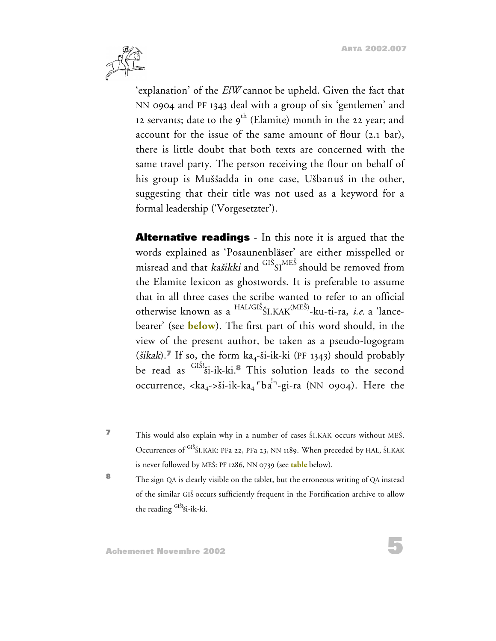**5**



'explanation' of the *ElW* cannot be upheld. Given the fact that NN 0904 and PF 1343 deal with a group of six 'gentlemen' and 12 servants; date to the  $9^{\text{th}}$  (Elamite) month in the 22 year; and account for the issue of the same amount of flour (2.1 bar), there is little doubt that both texts are concerned with the same travel party. The person receiving the flour on behalf of his group is Muššadda in one case, Ušbanuš in the other, suggesting that their title was not used as a keyword for a formal leadership ('Vorgesetzter').

**Alternative readings** - In this note it is argued that the words explained as 'Posaunenbläser' are either misspelled or misread and that *kašikki* and <sup>GIS</sup>SI<sup>MES</sup> should be removed from the Elamite lexicon as ghostwords. It is preferable to assume that in all three cases the scribe wanted to refer to an official otherwise known as a HAL/GI<sup>S</sup> <sup>S</sup>I.KAK(MES) -ku-ti-ra, *i.e.* a 'lancebearer' (see **below**). The first part of this word should, in the view of the present author, be taken as a pseudo-logogram ( $\delta$ *ikak*).<sup>*T*</sup> If so, the form ka<sub>4</sub>- $\delta$ *i*-*ik*-ki (PF 1343) should probably be read as <sup>GIS!</sup>Si-ik-ki.<sup>8</sup> This solution leads to the second occurrence, <ka<sub>4</sub>->ši-ik-ka<sub>4</sub> <sup>r</sup>ba<sup>!¬</sup>-gi-ra (NN 0904). Here the

**7** This would also explain why in a number of cases ŠI.KAK occurs without MEŠ. Occurrences of <sup>GIŠ</sup>ŠI.KAK: PFa 22, PFa 23, NN 1189. When preceded by HAL, ŠI.KAK is never followed by MES: PF 1286, NN 0739 (see **table** below).

**<sup>8</sup>** The sign QA is clearly visible on the tablet, but the erroneous writing of QA instead of the similar GIS occurs sufficiently frequent in the Fortification archive to allow the reading GIS!'si-ik-ki.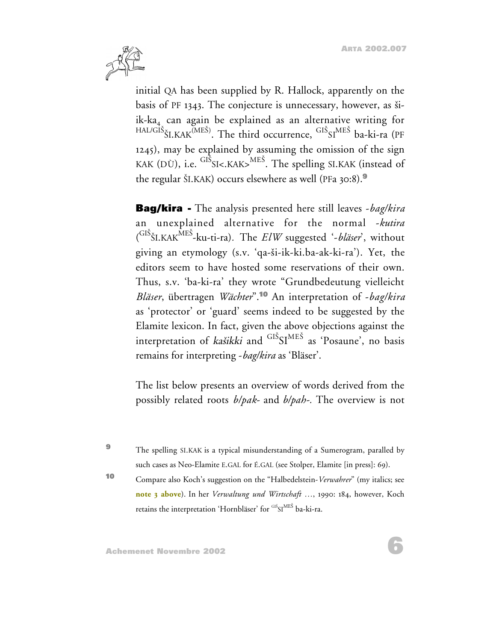**6**



initial QA has been supplied by R. Hallock, apparently on the basis of PF 1343. The conjecture is unnecessary, however, as siik-ka<sub>4</sub> can again be explained as an alternative writing for  $^{HAL/GIS}$ ŠI.KAK $^{(MES)}$ . The third occurrence,  $^{GIS}$ SI $^{MES}$  ba-ki-ra (PF 1245), may be explained by assuming the omission of the sign KAK (DÙ), i.e.  $^{\rm GIS}$ SI<.KAK> $^{\rm MES}$ . The spelling SI.KAK (instead of the regular SI.KAK) occurs elsewhere as well (PFa 30:8).**<sup>9</sup>**

**Bag/kira -** The analysis presented here still leaves -*bag/kira* an unexplained alternative for the normal -*kutira* ( GIS <sup>S</sup>I.KAKME<sup>S</sup> -ku-ti-ra)*.* The *ElW* suggested '-*bläser*', without giving an etymology (s.v. 'qa-si-ik-ki.ba-ak-ki-ra'). Yet, the editors seem to have hosted some reservations of their own. Thus, s.v. 'ba-ki-ra' they wrote "Grundbedeutung vielleicht *Bläser*, übertragen *Wächter*".**<sup>10</sup>** An interpretation of -*bag/kira* as 'protector' or 'guard' seems indeed to be suggested by the Elamite lexicon. In fact, given the above objections against the interpretation of *kašikki* and  $\mathrm{^{GIS}SI^{MES}}$  as 'Posaune', no basis remains for interpreting -*bag/kira* as 'Bläser'.

The list below presents an overview of words derived from the possibly related roots *b/pak*- and *b/pah-.* The overview is not

**<sup>9</sup>** The spelling SI.KAK is a typical misunderstanding of a Sumerogram, paralled by such cases as Neo-Elamite E.GAL for É.GAL (see Stolper, Elamite [in press]: 69).

**<sup>10</sup>** Compare also Koch's suggestion on the "Halbedelstein-*Verwahrer*" (my italics; see **note 3 above**). In her *Verwaltung und Wirtschaft …*, 1990: 184, however, Koch retains the interpretation 'Hornbläser' for <sup>GIŠ</sup>SI<sup>MES</sup> ba-ki-ra.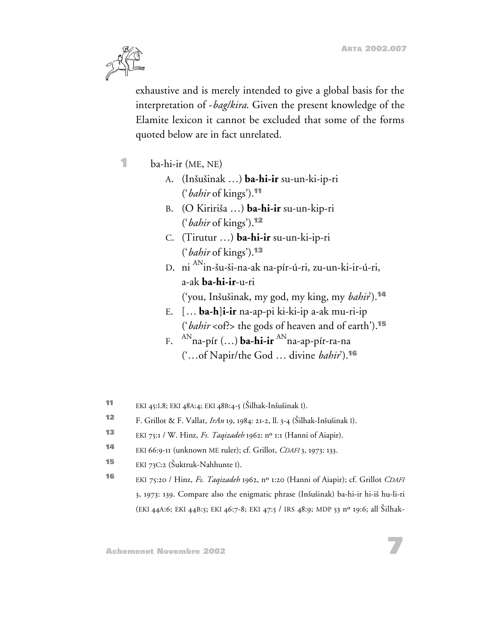

exhaustive and is merely intended to give a global basis for the interpretation of -*bag/kira*. Given the present knowledge of the Elamite lexicon it cannot be excluded that some of the forms quoted below are in fact unrelated.

- **1** ba-hi-ir (ME, NE)
	- A. (Insusinak …) **ba-hi-ir** su-un-ki-ip-ri ('*bahir* of kings').**<sup>11</sup>**
	- B. (O Kiririsa …) **ba-hi-ir** su-un-kip-ri ('*bahir* of kings').**<sup>12</sup>**
	- C. (Tirutur …) **ba-hi-ir** su-un-ki-ip-ri ('*bahir* of kings').**<sup>13</sup>**
	- D. ni <sup>AN</sup>in-šu-ši-na-ak na-pír-ú-ri, zu-un-ki-ir-ú-ri, a-ak **ba-hi-ir**-u-ri
		- ('you, Insusinak, my god, my king, my *bahir*').**<sup>14</sup>**
	- E. [… **ba-h**]**i-ir** na-ap-pi ki-ki-ip a-ak mu-ri-ip ('*bahir* <of?> the gods of heaven and of earth').**<sup>15</sup>**
	- F. ANna-pír (…) **ba-hi-ir** ANna-ap-pír-ra-na ('…of Napir/the God … divine *bahir*').**<sup>16</sup>**
- **<sup>11</sup>** EKI 45:I.8; EKI 48A:4; EKI 48B:4-5 (Silhak-Insusinak I).
- **<sup>12</sup>** F. Grillot & F. Vallat, *IrAn* 19, 1984: 21-2, ll.3-4 (Silhak-Insusinak I).
- **<sup>13</sup>** EKI 75:1 / W. Hinz, *Fs. Taqizadeh* 1962: nº 1:1 (Hanni of Aiapir).
- **<sup>14</sup>** EKI 66:9-11 (unknown ME ruler); cf. Grillot, *CDAFI* 3, 1973: 133.
- **15** EKI 73C:2 (Šuktruk-Nahhunte I).
- **<sup>16</sup>** EKI 75:20 / Hinz, *Fs. Taqizadeh* 1962, nº 1:20 (Hanni of Aiapir); cf. Grillot *CDAFI* 3, 1973: 139. Compare also the enigmatic phrase (Insusinak) ba-hi-ir hi-is hu-li-ri (EKI 44A:6; EKI 44B:5; EKI 46:7-8; EKI 47:5 / IRS 48:9; MDP 53 nº 19:6; all Silhak-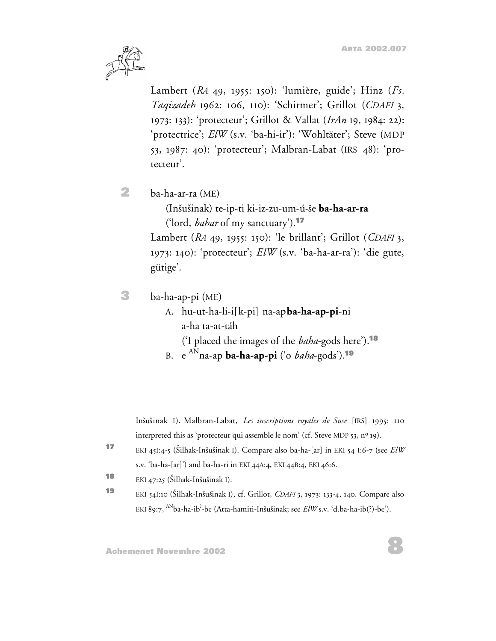

Lambert (*RA* 49, 1955: 150): 'lumière, guide'; Hinz (*Fs. Taqizadeh* 1962: 106, 110): 'Schirmer'; Grillot (*CDAFI* 3, 1973: 133): 'protecteur'; Grillot & Vallat (*IrAn* 19, 1984: 22): 'protectrice'; *ElW* (s.v. 'ba-hi-ir'): 'Wohltäter'; Steve (MDP 53, 1987: 40): 'protecteur'; Malbran-Labat (IRS 48): 'protecteur'.

**2** ba-ha-ar-ra (ME)

(Insusinak) te-ip-ti ki-iz-zu-um-ú-se **ba-ha-ar-ra** ('lord, *bahar* of my sanctuary').**<sup>17</sup>**

Lambert (*RA* 49, 1955: 150): 'le brillant'; Grillot (*CDAFI* 3, 1973: 140): 'protecteur'; *ElW* (s.v. 'ba-ha-ar-ra'): 'die gute, gütige'.

- **3** ba-ha-ap-pi (ME)
	- A. hu-ut-ha-li-i[k-pi] na-ap **ba-ha-ap-pi**-ni a-ha ta-at-táh ('I placed the images of the *baha*-gods here').**<sup>18</sup>**

B. e AN na-ap **ba-ha-ap-pi** ('o *baha*-gods').**<sup>19</sup>**

Insusinak I). Malbran-Labat, *Les inscriptions royales de Suse* [IRS] 1995: 110 interpreted this as 'protecteur qui assemble le nom' (cf. Steve MDP 53, nº 19).

- **<sup>17</sup>** EKI 45I:4-5 (Silhak-Insusinak I). Compare also ba-ha-[ar] in EKI 54 I:6-7 (see *ElW* s.v. 'ba-ha-[ar]') and ba-ha-ri in EKI 44A:4, EKI 44B:4, EKI 46:6.
- **18** EKI 47:25 (Šilhak-Inšušinak I).
- **<sup>19</sup>** EKI 54I:10 (Silhak-Insusinak I), cf. Grillot, *CDAFI* 3, 1973: 133-4, 140. Compare also EKI 89:7, <sup>AN</sup>ba-ha-ib<sup>?</sup>-be (Atta-hamiti-Inšušinak; see *ElW* s.v. 'd.ba-ha-ib(?)-be').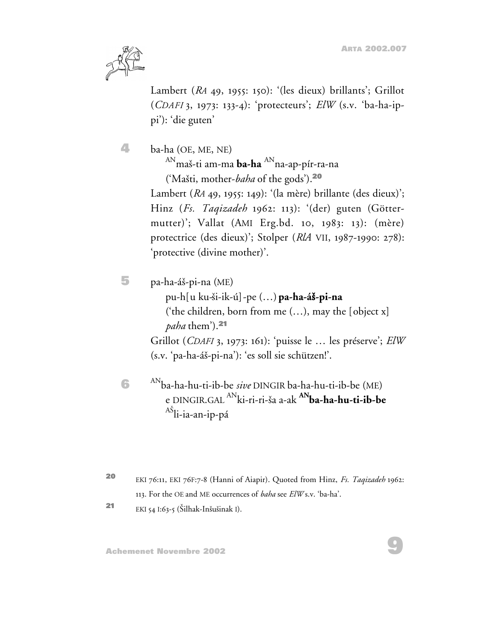**9**



Lambert (*RA* 49, 1955: 150): '(les dieux) brillants'; Grillot (*CDAFI* 3, 1973: 133-4): 'protecteurs'; *ElW* (s.v. 'ba-ha-ippi'): 'die guten'

**4** ba-ha (OE, ME, NE) <sup>AN</sup>maš-ti am-ma **ba-ha** <sup>AN</sup>na-ap-pír-ra-na ('Masti, mother-*baha* of the gods').**<sup>20</sup>** Lambert (*RA* 49, 1955: 149): '(la mère) brillante (des dieux)'; Hinz (*Fs. Taqizadeh* 1962: 113): '(der) guten (Göttermutter)'; Vallat (AMI Erg.bd. 10, 1983: 13): (mère) protectrice (des dieux)'; Stolper (*RlA* VII, 1987-1990: 278): 'protective (divine mother)'.

**5** pa-ha-ás-pi-na (ME)

pu-h[u ku-si-ik-ú]-pe (…) **pa-ha-á**s**-pi-na** ('the children, born from me  $(...)$ , may the [object x] *paha* them').**<sup>21</sup>** Grillot (*CDAFI* 3, 1973: 161): 'puisse le … les préserve'; *ElW* (s.v. 'pa-ha-ás-pi-na'): 'es soll sie schützen!'.

- **6** ANba-ha-hu-ti-ib-be *sive* DINGIR ba-ha-hu-ti-ib-be (ME) e DINGIR.GAL ANki-ri-ri-sa a-ak **ANba-ha-hu-ti-ib-be** <sup>AS</sup>li-ia-an-ip-pá
- **<sup>20</sup>** EKI 76:11, EKI 76F:7-8 (Hanni of Aiapir). Quoted from Hinz, *Fs. Taqizadeh* 1962: 113. For the OE and ME occurrences of *baha* see *ElW* s.v. 'ba-ha'.
- **<sup>21</sup>** EKI 54 I:63-5 (Silhak-Insusinak I).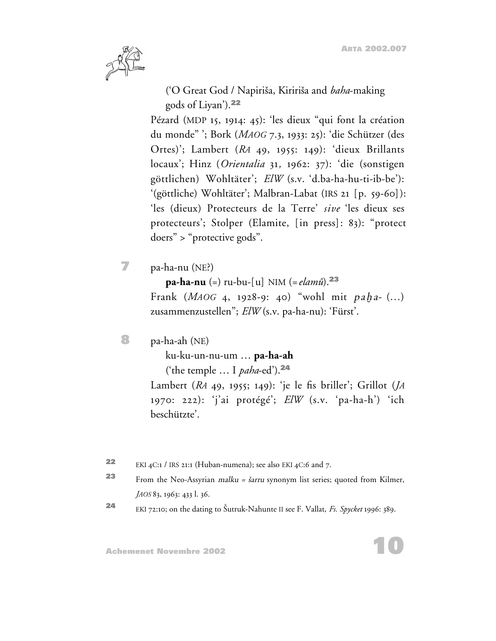

('O Great God / Napirisa, Kiririsa and *baha*-making gods of Liyan').**<sup>22</sup>**

Pézard (MDP 15, 1914: 45): 'les dieux "qui font la création du monde" '; Bork (*MAOG* 7.3, 1933: 25): 'die Schützer (des Ortes)'; Lambert (*RA* 49, 1955: 149): 'dieux Brillants locaux'; Hinz (*Orientalia* 31*,* 1962: 37): 'die (sonstigen göttlichen) Wohltäter'; *ElW* (s.v. 'd.ba-ha-hu-ti-ib-be'): '(göttliche) Wohltäter'; Malbran-Labat (IRS 21 [p. 59-60]): 'les (dieux) Protecteurs de la Terre' *sive* 'les dieux ses protecteurs'; Stolper (Elamite, [in press]: 83): "protect doers" > "protective gods".

**7** pa-ha-nu (NE?)

**pa-ha-nu** (=) ru-bu-[u] NIM (= *elamû*).**<sup>23</sup>**

Frank (*MAOG* 4, 1928-9: 40) "wohl mit paha- (...) zusammenzustellen"; *ElW* (s.v. pa-ha-nu): 'Fürst'.

**8** pa-ha-ah (NE)

ku-ku-un-nu-um … **pa-ha-ah** ('the temple … I *paha*-ed').**<sup>24</sup>**

Lambert (*RA* 49, 1955; 149): 'je le fis briller'; Grillot (*JA* 1970: 222): 'j'ai protégé'; *ElW* (s.v. 'pa-ha-h') 'ich beschützte'.

- **<sup>22</sup>** EKI 4C:1 / IRS 21:1 (Huban-numena); see also EKI 4C:6 and 7.
- **23** From the Neo-Assyrian *malku* = *šarru* synonym list series; quoted from Kilmer, *JAOS* 83, 1963: 433 l. 36.
- **<sup>24</sup>** EKI 72:10; on the dating to Sutruk-Nahunte II see F. Vallat, *Fs. Spycket* 1996: 389.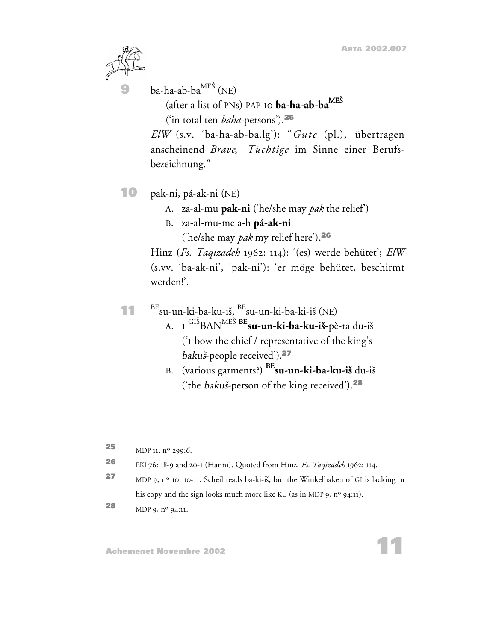**11**



ba-ha-ab-ba<sup>MEŠ</sup> (NE)

(after a list of PNs) PAP 10 **ba-ha-ab-ba**ME<sup>S</sup>

('in total ten *baha*-persons').**<sup>25</sup>**

*ElW* (s.v. 'ba-ha-ab-ba.lg'): "*Gute* (pl.), übertragen anscheinend *Brave*, *Tüchtige* im Sinne einer Berufsbezeichnung."

**10** pak-ni, pá-ak-ni (NE)

A. za-al-mu **pak-ni** ('he/she may *pak* the relief')

B. za-al-mu-me a-h **pá-ak-ni**

('he/she may *pak* my relief here').**<sup>26</sup>**

Hinz (*Fs. Taqizadeh* 1962: 114): '(es) werde behütet'; *ElW* (s.vv. 'ba-ak-ni', 'pak-ni'): 'er möge behütet, beschirmt werden!'.

- **11** BEsu-un-ki-ba-ku-is, BEsu-un-ki-ba-ki-is (NE)
	- A. 1 GIS BANME<sup>S</sup> **BEsu-un-ki-ba-ku-i**s**-**pè-ra du-is ('1 bow the chief / representative of the king's bakus-people received').**<sup>27</sup>**
	- B. (various garments?) **BEsu-un-ki-ba-ku-i**s du-is ('the bakus-person of the king received').**<sup>28</sup>**
- **25** MDP 11, n<sup>o</sup> 299:6. **<sup>26</sup>** EKI 76: 18-9 and 20-1 (Hanni). Quoted from Hinz, *Fs. Taqizadeh* 1962: 114. **<sup>27</sup>** MDP 9, nº 10: 10-11. Scheil reads ba-ki-is, but the Winkelhaken of GI is lacking in his copy and the sign looks much more like KU (as in MDP 9, nº 94:11).
- **<sup>28</sup>** MDP 9, nº 94:11.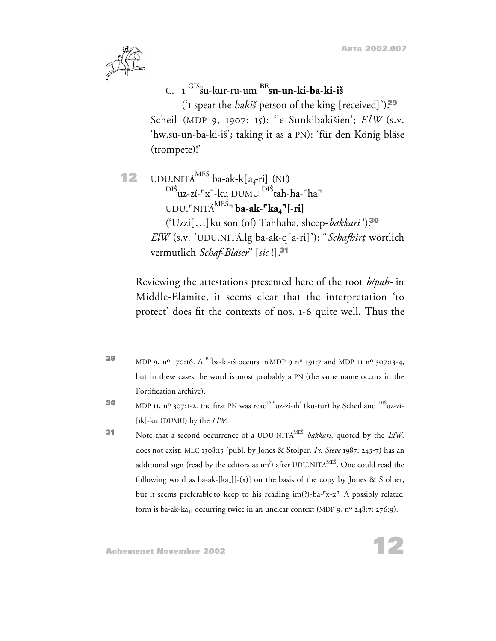

C. 1 GIS su-kur-ru-um **BEsu-un-ki-ba-ki-i**s

('1 spear the bakis-person of the king [received]').**<sup>29</sup>** Scheil (MDP 9, 1907: 15): 'le Sunkibakisien'; *ElW* (s.v. 'hw.su-un-ba-ki-is'; taking it as a PN): 'für den König bläse (trompete)!'

**12** UDU.NITÁ<sup>MES</sup> ba-ak-k $[a_4$ -ri] (NE) <sup>DIS</sup>uz-zí-<sup>r</sup>x<sup>¬</sup>-ku DUMU <sup>DIS</sup>tah-ha-<sup>r</sup>ha<sup>¬</sup> UDU.[NITÁME<sup>S</sup> ] **ba-ak-**[**ka4**]**[-ri]** ('Uzzi[…]ku son (of) Tahhaha, sheep-*bakkari* ').**<sup>30</sup>** *ElW* (s.v. 'UDU.NITÁ.lg ba-ak-q[a-ri]'): "*Schafhirt*, wörtlich vermutlich *Schaf-Bläser*" [*sic* !].**<sup>31</sup>**

Reviewing the attestations presented here of the root *b/pah-* in Middle-Elamite, it seems clear that the interpretation 'to protect' does fit the contexts of nos. 1-6 quite well. Thus the

- **29** MDP 9,  $n^{\circ}$  170:16. A <sup>BE</sup>ba-ki-is occurs in MDP 9  $n^{\circ}$  191:7 and MDP 11  $n^{\circ}$  307:13-4, but in these cases the word is most probably a PN (the same name occurs in the Fortification archive).
- **30** MDP 11, nº 307:1-2. the first PN was read<sup>DIŠ</sup>uz-zí-ih<sup>?</sup> (ku-tur) by Scheil and <sup>DIŠ</sup>uz-zí-[ik]-ku (DUMU) by the *ElW.*
- **<sup>31</sup>** Note that a second occurrence of a UDU.NITÁME<sup>S</sup> *bakkari*, quoted by the *ElW*, does not exist: MLC 1308:13 (publ. by Jones & Stolper, *Fs. Steve* 1987: 243-7) has an additional sign (read by the editors as im $\dot{ }$ ) after UDU.NITÁ $^{ME\dot{S}}.$  One could read the following word as ba-ak-[ka<sub>4</sub>][-(x)] on the basis of the copy by Jones & Stolper, but it seems preferable to keep to his reading im(?)-ba-'x-x'. A possibly related form is ba-ak-ka<sub>4</sub>, occurring twice in an unclear context (MDP 9, n<sup>o</sup> 248:7; 276:9).

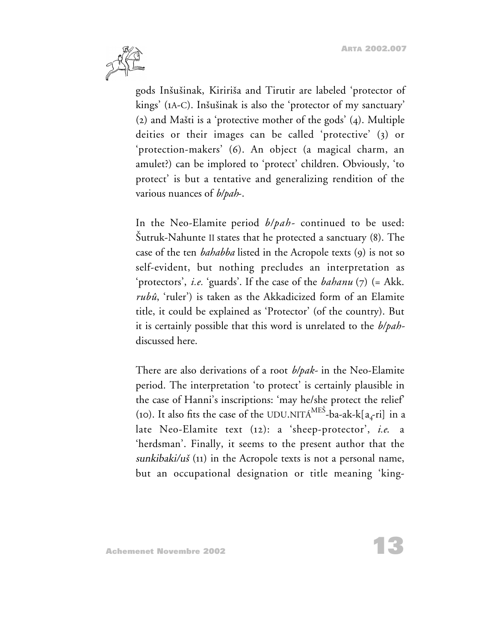

gods Insusinak, Kiririsa and Tirutir are labeled 'protector of kings' (1A-C). Insusinak is also the 'protector of my sanctuary'  $(2)$  and Mašti is a 'protective mother of the gods'  $(4)$ . Multiple deities or their images can be called 'protective' (3) or 'protection-makers' (6). An object (a magical charm, an amulet?) can be implored to 'protect' children. Obviously, 'to protect' is but a tentative and generalizing rendition of the various nuances of *b/pah*-.

In the Neo-Elamite period *b/pah-* continued to be used: Sutruk-Nahunte II states that he protected a sanctuary (8). The case of the ten *bahabba* listed in the Acropole texts (9) is not so self-evident, but nothing precludes an interpretation as 'protectors', *i.e.* 'guards'. If the case of the *bahanu* (7) (= Akk. *rubû*, 'ruler') is taken as the Akkadicized form of an Elamite title, it could be explained as 'Protector' (of the country). But it is certainly possible that this word is unrelated to the *b/pah*discussed here.

There are also derivations of a root *b/pak-* in the Neo-Elamite period. The interpretation 'to protect' is certainly plausible in the case of Hanni's inscriptions: 'may he/she protect the relief' (10). It also fits the case of the UDU.NITA<sup>MES</sup>-ba-ak-k[a<sub>4</sub>-ri] in a late Neo-Elamite text (12): a 'sheep-protector', *i.e*. a 'herdsman'. Finally, it seems to the present author that the sunkibaki/ $u\check{s}$  (11) in the Acropole texts is not a personal name, but an occupational designation or title meaning 'king-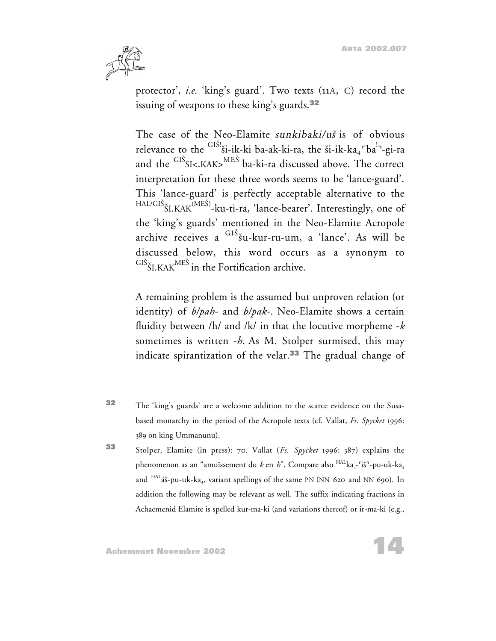

protector', *i.e*. 'king's guard'. Two texts (11A, C) record the issuing of weapons to these king's guards.**<sup>32</sup>**

The case of the Neo-Elamite sunkibaki/us is of obvious relevance to the <sup>GIS!</sup>ši-ik-ki ba-ak-ki-ra, the ši-ik-ka<sub>4</sub> <sup>-</sup>ba<sup>!-</sup>1-gi-ra and the  $\mathrm{^{GIS}S}$ I<.KAK> $\mathrm{^{MES}}$  ba-ki-ra discussed above. The correct interpretation for these three words seems to be 'lance-guard'. This 'lance-guard' is perfectly acceptable alternative to the <sup>HAL/GIS</sup>ŠI.KAK<sup>(MES)</sup>-ku-ti-ra, 'lance-bearer'. Interestingly, one of the 'king's guards' mentioned in the Neo-Elamite Acropole archive receives a <sup>GIS</sup>šu-kur-ru-um, a 'lance'. As will be discussed below, this word occurs as a synonym to  $\mathrm{^{GIS}\check{S}I.KAK}^{\mathrm{MES}}$  in the Fortification archive.

A remaining problem is the assumed but unproven relation (or identity) of *b/pah-* and *b/pak-*. Neo-Elamite shows a certain fluidity between /h/ and /k/ in that the locutive morpheme -*k* sometimes is written -*h.* As M. Stolper surmised, this may indicate spirantization of the velar.**<sup>33</sup>** The gradual change of

- **<sup>32</sup>** The 'king's guards' are a welcome addition to the scarce evidence on the Susabased monarchy in the period of the Acropole texts (cf. Vallat, *Fs. Spycket* 1996: 389 on king Ummanunu).
- **<sup>33</sup>** Stolper, Elamite (in press): 70. Vallat (*Fs. Spycket* 1996: 387) explains the phenomenon as an "amuïssement du *k* en *h*". Compare also  $HAL_{\text{A}-1}$ "is"-pu-uk-ka<sub>4</sub> and <sup>HAL</sup>áš-pu-uk-ka<sub>4</sub>, variant spellings of the same PN (NN 620 and NN 690). In addition the following may be relevant as well. The suffix indicating fractions in Achaemenid Elamite is spelled kur-ma-ki (and variations thereof) or ir-ma-ki (e.g.,

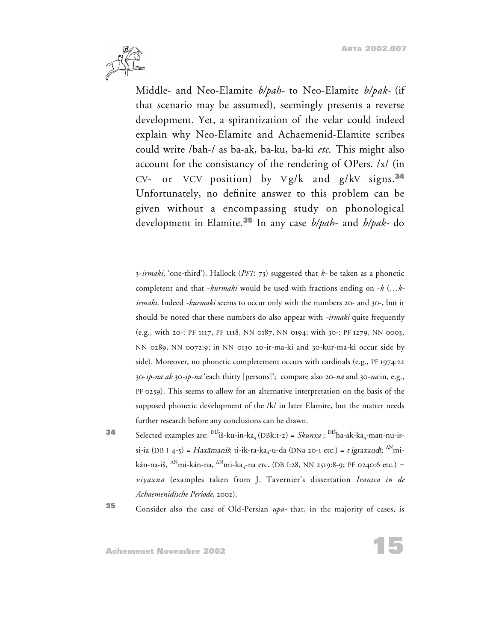

Middle- and Neo-Elamite *b/pah-* to Neo-Elamite *b/pak-* (if that scenario may be assumed), seemingly presents a reverse development. Yet, a spirantization of the velar could indeed explain why Neo-Elamite and Achaemenid-Elamite scribes could write /bah-/ as ba-ak, ba-ku, ba-ki *etc*. This might also account for the consistancy of the rendering of OPers. /x/ (in CV- or VCV position) by V g/k and g/kV signs.**<sup>34</sup>** Unfortunately, no definite answer to this problem can be given without a encompassing study on phonological development in Elamite.**<sup>35</sup>** In any case *b/pah-* and *b/pak-* do

3-*irmaki*, 'one-third'). Hallock (*PFT*: 73) suggested that *k-* be taken as a phonetic completent and that -*kurmaki* would be used with fractions ending on -*k* (…*kirmaki*. Indeed *-kurmaki* seems to occur only with the numbers 20- and 30-, but it should be noted that these numbers do also appear with *-irmaki* quite frequently (e.g., with 20-: PF 1117, PF 1118, NN 0187, NN 0194; with 30-: PF 1279, NN 0003, NN 0289, NN 0072:9; in NN 0130 20-ir-ma-ki and 30-kur-ma-ki occur side by side). Moreover, no phonetic completement occurs with cardinals (e.g., PF 1974:22 30-*ip-na ak* 30*-ip-na* 'each thirty [persons]'; compare also 20-*na* and 30*-na* in, e.g., PF 0259). This seems to allow for an alternative interpretation on the basis of the supposed phonetic development of the /k/ in later Elamite, but the matter needs further research before any conclusions can be drawn.

**34** Selected examples are: <sup>DIŠ</sup>iš-ku-in-ka<sub>4</sub> (DBk:1-2) = *Skunxa*; <sup>DIŠ</sup>ha-ak-ka<sub>4</sub>-man-nu-issi-ia (DB I 4-5) = Haxāmaniš; ti-ik-ra-ka<sub>4</sub>-u-da (DNa 20-1 etc.) = t igraxaudī; <sup>AN</sup>mikán-na-iš, <sup>AN</sup>mi-kán-na, <sup>AN</sup>mi-ka<sub>4</sub>-na etc. (DB I:28, NN 2519:8-9; PF 0240:6 etc.) = *viyaxna* (examples taken from J. Tavernier's dissertation *Iranica in de Achaemenidische Periode*, 2002).

**<sup>35</sup>** Consider also the case of Old-Persian *upa-* that, in the majority of cases, is

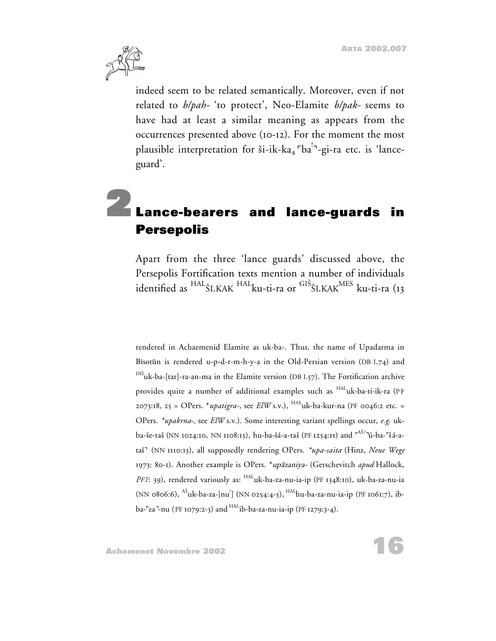

indeed seem to be related semantically. Moreover, even if not related to *b/pah-* 'to protect', Neo-Elamite *b/pak-* seems to have had at least a similar meaning as appears from the occurrences presented above (10-12). For the moment the most plausible interpretation for ši-ik-ka<sub>4</sub> <sup>r</sup>ba<sup>!-</sup>-gi-ra etc. is 'lanceguard'.

# **2Lance-bearers and lance-guards in Persepolis**

Apart from the three 'lance guards' discussed above, the Persepolis Fortification texts mention a number of individuals identified as <sup>HAL</sup>ŠI.KAK <sup>HAL</sup>ku-ti-ra or <sup>GIS</sup>ŠI.KAK<sup>MES</sup> ku-ti-ra (13

rendered in Achaemenid Elamite as uk-ba-. Thus, the name of Upadarma in Bisotūn is rendered u-p-d-r-m-h-y-a in the Old-Persian version (DB I.74) and <sup>DIS</sup>uk-ba-[tar]-ra-an-ma in the Elamite version (DB I.57). The Fortification archive provides quite a number of additional examples such as <sup>HAL</sup>uk-ba-ti-ik-ra (PF 2073:18, 25 = OPers. \**upatigra-*, see *ElW* s.v.), HALuk-ba-kur-na (PF 0046:2 etc. = OPers. *\*upakrna*-, see *ElW* s.v.). Some interesting variant spellings occur, *e.g.* ukba-še-taš (NN 1024:10, NN 1108:15), hu-ba-šá-a-taš (PF 1254:11) and <sup>rAŠ?-</sup>ú-ba-<sup>r</sup>šá-ataš<sup>-</sup> (NN 1110:13), all supposedly rendering OPers. *\*upa-saita* (Hinz, Neue Wege 1973: 80-1). Another example is OPers. \*up<sup>a</sup>zaniya- (Gerschevitch *apud* Hallock, *PFT*: 39), rendered variously as: HALuk-ba-za-nu-ia-ip (PF 1348:10), uk-ba-za-nu-ia (NN 0806:6), <sup>AS</sup>uk-ba-za-[nu<sup>?</sup>] (NN 0254:4-5), <sup>HAL</sup>hu-ba-za-nu-ia-ip (PF 1061:7), ib $ba$ - $z$ a<sup>-</sup>-nu (PF 1079:2-3) and  $HAL$ ib-ba-za-nu-ia-ip (PF 1279:3-4).

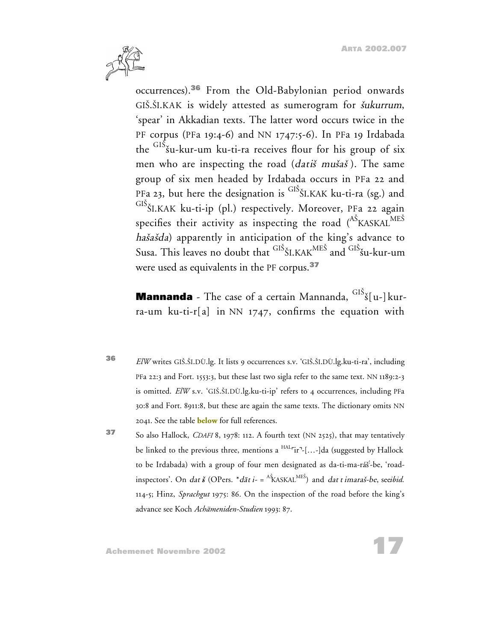**17**



occurrences).**<sup>36</sup>** From the Old-Babylonian period onwards GIŠ.ŠI.KAK is widely attested as sumerogram for *šukurrum*, 'spear' in Akkadian texts. The latter word occurs twice in the PF corpus (PFa 19:4-6) and NN 1747:5-6). In PFa 19 Irdabada the <sup>GIS</sup>šu-kur-um ku-ti-ra receives flour for his group of six men who are inspecting the road (datis musas). The same group of six men headed by Irdabada occurs in PFa 22 and PFa 23, but here the designation is <sup>GIS</sup>ŠI.KAK ku-ti-ra (sg.) and <sup>GIS</sup>ŠI.KAK ku-ti-ip (pl.) respectively. Moreover, PFa 22 again specifies their activity as inspecting the road  $(^\text{AS}\text{KASKAL}^\text{MES})$ hašašda) apparently in anticipation of the king's advance to Susa. This leaves no doubt that <sup>GIS</sup>ŠI.KAK<sup>MES</sup> and <sup>GIS</sup>šu-kur-um were used as equivalents in the PF corpus.**<sup>37</sup>**

**Mannanda** - The case of a certain Mannanda, <sup>GIS</sup>š[u-]kurra-um ku-ti-r[a] in NN 1747, confirms the equation with

- **<sup>36</sup>** *ElW* writes GIS.SI.DÙ.lg. It lists 9 occurrences s.v. 'GIS.SI.DÙ.lg.ku-ti-ra', including PFa 22:3 and Fort. 1553:3, but these last two sigla refer to the same text. NN 1189:2-3 is omitted. *ElW* s.v. 'GIŠ.ŠI.DÙ.lg.ku-ti-ip' refers to 4 occurrences, including PFa 30:8 and Fort. 8911:8, but these are again the same texts. The dictionary omits NN 2041. See the table **below** for full references.
- **<sup>37</sup>** So also Hallock, *CDAFI* 8, 1978: 112. A fourth text (NN 2525), that may tentatively be linked to the previous three, mentions a  $HAL$ <sup>r</sup>ir<sup>-1</sup>[...-]da (suggested by Hallock to be Irdabada) with a group of four men designated as da-ti-ma-ráš<sup>!</sup>-be, 'roadinspectors'. On *dat š (OPers. \*dāt i-* = <sup>As</sup>KASKAL<sup>MES</sup>) and *dat t imaraš-be, seeibid.* 114-5; Hinz, *Sprachgut* 1975: 86. On the inspection of the road before the king's advance see Koch *Achämeniden-Studien* 1993: 87.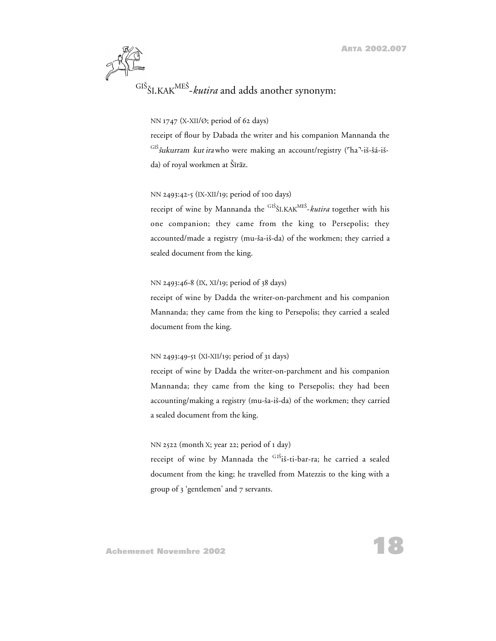

### NN 1747 (X-XII/Ø; period of 62 days)

receipt of flour by Dabada the writer and his companion Mannanda the <sup>GIS</sup>šukurram kut irawho were making an account/registry (<sup>r</sup>ha<sup>-</sup>-iš-šá-išda) of royal workmen at Šīrāz.

#### NN 2493:42-5 (IX-XII/19; period of 100 days)

receipt of wine by Mannanda the <sup>GIS</sup>ŠI.KAK<sup>MES</sup>-*kutira* together with his one companion; they came from the king to Persepolis; they accounted/made a registry (mu-sa-is-da) of the workmen; they carried a sealed document from the king.

#### NN 2493:46-8 (IX, XI/19; period of 38 days)

receipt of wine by Dadda the writer-on-parchment and his companion Mannanda; they came from the king to Persepolis; they carried a sealed document from the king.

#### NN 2493:49-51 (XI-XII/19; period of 31 days)

receipt of wine by Dadda the writer-on-parchment and his companion Mannanda; they came from the king to Persepolis; they had been accounting/making a registry (mu-sa-is-da) of the workmen; they carried a sealed document from the king.

NN 2522 (month X; year 22; period of 1 day)

receipt of wine by Mannada the <sup>GIS</sup>iš-ti-bar-ra; he carried a sealed document from the king; he travelled from Matezzis to the king with a group of 3 'gentlemen' and 7 servants.

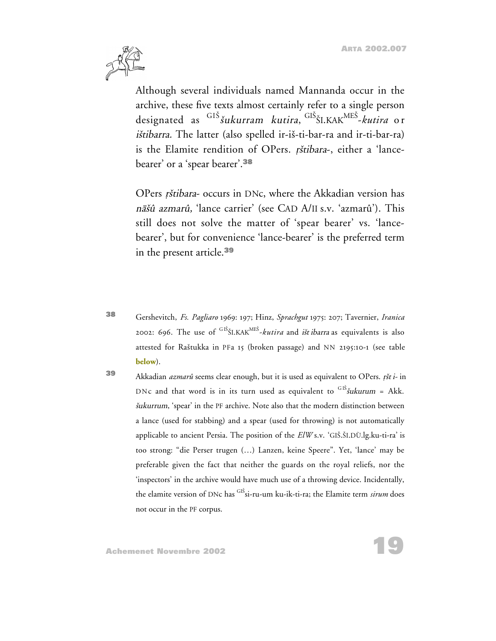**19**



Although several individuals named Mannanda occur in the archive, these five texts almost certainly refer to a single person designated as GI<sup>S</sup> <sup>s</sup>ukurram kutira, GI<sup>S</sup> <sup>S</sup>I.KAKME<sup>S</sup> -*kutira* o r <sup>i</sup>stibarra. The latter (also spelled ir-is-ti-bar-ra and ir-ti-bar-ra) is the Elamite rendition of OPers. rštibara-, either a 'lancebearer' or a 'spear bearer'.**<sup>38</sup>**

OPers rštibara- occurs in DNc, where the Akkadian version has <sup>n</sup>asû azmarû, 'lance carrier' (see CAD A/II s.v. 'azmarû'). This still does not solve the matter of 'spear bearer' vs. 'lancebearer', but for convenience 'lance-bearer' is the preferred term in the present article.**<sup>39</sup>**

**<sup>38</sup>** Gershevitch, *Fs. Pagliaro* 1969: 197; Hinz, *Sprachgut* 1975: 207; Tavernier, *Iranica* 2002: 696. The use of <sup>GIS</sup>ŠI.KAK<sup>MES</sup>-*kutira* and *ištibarra* as equivalents is also attested for Rastukka in PFa 15 (broken passage) and NN 2195:10-1 (see table **below**).

**39** Akkadian *azmarû* seems clear enough, but it is used as equivalent to OPers. *ršt i-* in DNc and that word is in its turn used as equivalent to  $\frac{GIS}{W}$  in  $k$ kk. <sup>s</sup>ukurrum, 'spear' in the PF archive. Note also that the modern distinction between a lance (used for stabbing) and a spear (used for throwing) is not automatically applicable to ancient Persia. The position of the *ElW* s.v. 'GIS.SI.DÙ.lg.ku-ti-ra' is too strong: "die Perser trugen (…) Lanzen, keine Speere". Yet, 'lance' may be preferable given the fact that neither the guards on the royal reliefs, nor the 'inspectors' in the archive would have much use of a throwing device. Incidentally, the elamite version of DNc has GI<sup>S</sup> si-ru-um ku-ik-ti-ra; the Elamite term *sirum* does not occur in the PF corpus.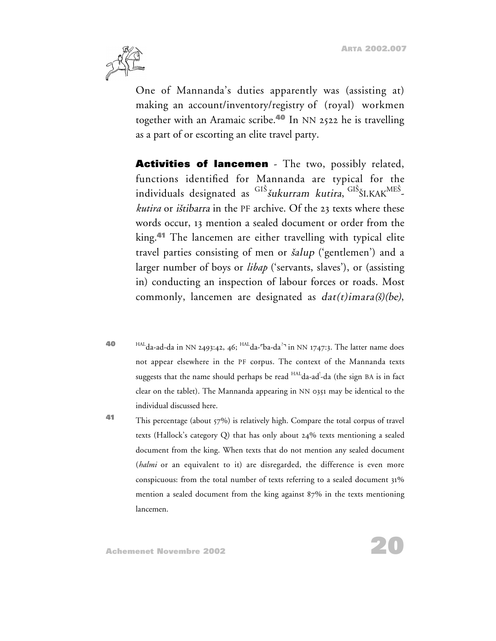

One of Mannanda's duties apparently was (assisting at) making an account/inventory/registry of (royal) workmen together with an Aramaic scribe.**<sup>40</sup>** In NN 2522 he is travelling as a part of or escorting an elite travel party.

**Activities of lancemen** - The two, possibly related, functions identified for Mannanda are typical for the individuals designated as <sup>GIS</sup>šukurram kutira, <sup>GIS</sup>ŠI.KAK<sup>MES</sup>*kutira* or istibarra in the PF archive. Of the 23 texts where these words occur, 13 mention a sealed document or order from the king.**<sup>41</sup>** The lancemen are either travelling with typical elite travel parties consisting of men or  $\delta$ alup ('gentlemen') and a larger number of boys or *libap* ('servants, slaves'), or (assisting in) conducting an inspection of labour forces or roads. Most commonly, lancemen are designated as  $dat(t) imara(\tilde{s})(be)$ ,

- **40** HAL da-ad-da in NN 2493:42, 46; <sup>HAL</sup> da-<sup>r</sup>ba-da<sup>?</sup> in NN 1747:3. The latter name does not appear elsewhere in the PF corpus. The context of the Mannanda texts suggests that the name should perhaps be read <sup>HAL</sup>da-ad<sup>!</sup>-da (the sign BA is in fact clear on the tablet). The Mannanda appearing in NN 0351 may be identical to the individual discussed here.
- **41** This percentage (about 57%) is relatively high. Compare the total corpus of travel texts (Hallock's category Q) that has only about 24% texts mentioning a sealed document from the king. When texts that do not mention any sealed document (*halmi* or an equivalent to it) are disregarded, the difference is even more conspicuous: from the total number of texts referring to a sealed document 31% mention a sealed document from the king against 87% in the texts mentioning lancemen.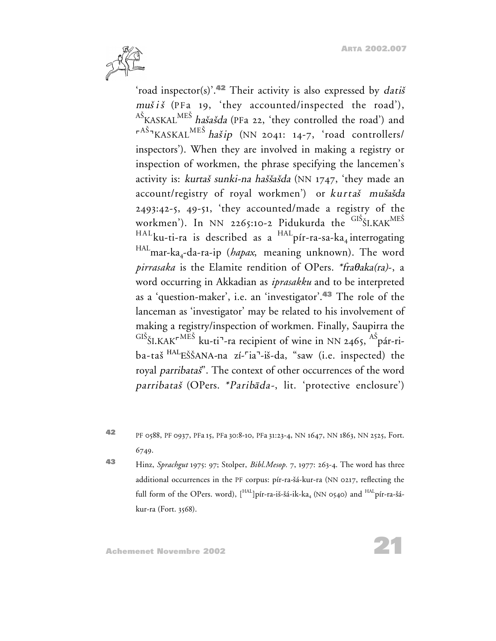

'road inspector(s)'.**<sup>42</sup>** Their activity is also expressed by dati<sup>s</sup>  $mu\check{s}$  is (PFa 19, 'they accounted/inspected the road'), <sup>AS</sup>KASKAL<sup>MES</sup> *hašašda* (PFa 22, 'they controlled the road') and <sup>r AS</sup> KASKAL<sup>MES</sup> haš*ip* (NN 2041: 14-7, 'road controllers/ inspectors'). When they are involved in making a registry or inspection of workmen, the phrase specifying the lancemen's activity is: kurtaš sunki-na haššašda (NN 1747, 'they made an account/registry of royal workmen') or kurtaš mušašda 2493:42-5, 49-51, 'they accounted/made a registry of the workmen'). In NN 2265:10-2 Pidukurda the <sup>GIS</sup>ŠI.KAK<sup>MES</sup>  $HAL_{\text{ku-ti-ra}}$  is described as a  $HAL_{\text{pi-ra-sa-ka}_{4}}$  interrogating HALmar-ka4-da-ra-ip (*hapax*, meaning unknown). The word *pirrasaka* is the Elamite rendition of OPers. \*fra $\theta$ aka(ra)-, a word occurring in Akkadian as *iprasakku* and to be interpreted as a 'question-maker', i.e. an 'investigator'.**<sup>43</sup>** The role of the lanceman as 'investigator' may be related to his involvement of making a registry/inspection of workmen. Finally, Saupirra the  $\mathrm{^{GIS}}$ ŠI.KAK $\mathrm{^{rMES}}$  ku-ti<sup>¬</sup>-ra recipient of wine in NN 2465,  $\mathrm{^{AS}}$ pár-riba-taš<sup>HAL</sup>EŠŠANA-na zí-<sup>r</sup>ia<sup>-</sup>-iš-da, "saw (i.e. inspected) the royal parribatas". The context of other occurrences of the word parribataš (OPers. \*Paribāda-, lit. 'protective enclosure')

**<sup>42</sup>** PF 0588, PF 0937, PFa 15, PFa 30:8-10, PFa 31:23-4, NN 1647, NN 1863, NN 2525, Fort. 6749.

**<sup>43</sup>** Hinz, *Sprachgut* 1975: 97; Stolper, *Bibl.Mesop.* 7, 1977: 263-4. The word has three additional occurrences in the PF corpus: pír-ra-sá-kur-ra (NN 0217, reflecting the full form of the OPers. word),  $\left[\right]$ <sup>HAL</sup>]pír-ra-iš-šá-ik-ka<sub>4</sub> (NN 0540) and <sup>HAL</sup>pír-ra-šákur-ra (Fort. 3568).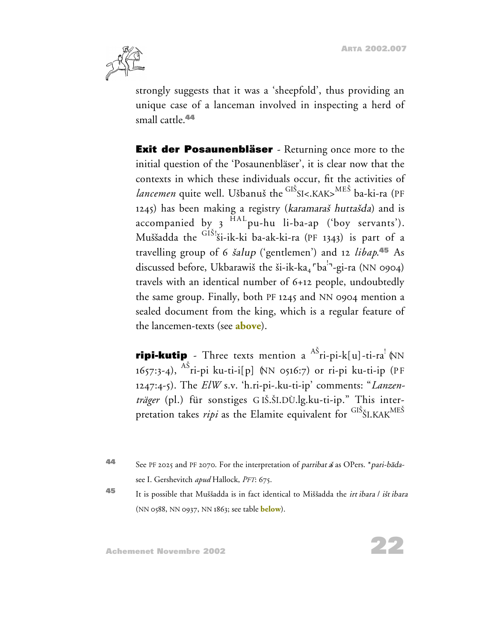

strongly suggests that it was a 'sheepfold', thus providing an unique case of a lanceman involved in inspecting a herd of small cattle.**<sup>44</sup>**

**Exit der Posaunenbläser** - Returning once more to the initial question of the 'Posaunenbläser', it is clear now that the contexts in which these individuals occur, fit the activities of *lancemen* quite well. Ušbanuš the <sup>GIS</sup>SI<.KAK><sup>MES</sup> ba-ki-ra (PF 1245) has been making a registry (karamaraš huttašda) and is accompanied by  $3^{HAL}$ pu-hu li-ba-ap ('boy servants'). Muššadda the GIŠ'ši-ik-ki ba-ak-ki-ra (PF 1343) is part of a travelling group of 6 salup ('gentlemen') and 12 *libap*. **<sup>45</sup>** As discussed before, Ukbarawiš the ši-ik-ka<sub>4</sub> <sup>r</sup>ba<sup>!-1</sup>-gi-ra (NN 0904) travels with an identical number of 6+12 people, undoubtedly the same group. Finally, both PF 1245 and NN 0904 mention a sealed document from the king, which is a regular feature of the lancemen-texts (see **above**).

**ripi-kutip** - Three texts mention a <sup>AS</sup>ri-pi-k[u]-ti-ra <sup>{</sup> MN 1657:3-4), <sup>AS</sup>ri-pi ku-ti-i[p] (NN 0516:7) or ri-pi ku-ti-ip (PF 1247:4-5). The *ElW* s.v. 'h.ri-pi-.ku-ti-ip' comments: "*Lanzenträger* (pl.) für sonstiges G IS.SI.DÙ.lg.ku-ti-ip." This interpretation takes *ripi* as the Elamite equivalent for <sup>GIS</sup>ŠI.KAK<sup>MES</sup>

**44** See PF 2025 and PF 2070. For the interpretation of *parribat* as OPers. \**pari-bada*see I. Gershevitch *apud* Hallock, *PFT*: 675.

**<sup>45</sup>** It is possible that Mussadda is in fact identical to Missadda the irt ibara / is<sup>t</sup> ibara (NN 0588, NN 0937, NN 1863; see table **below**).

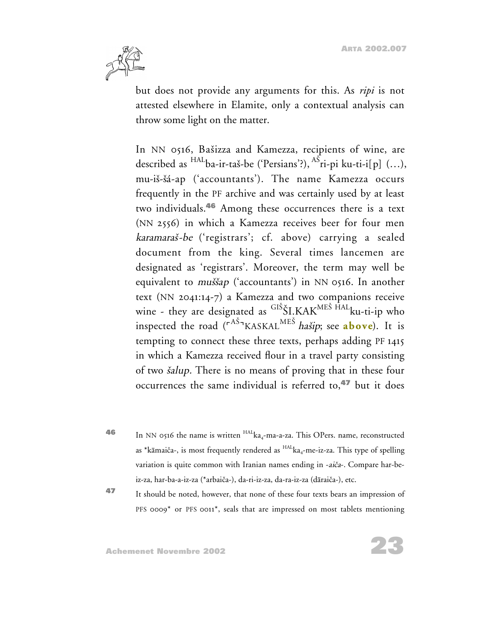

but does not provide any arguments for this. As *ripi* is not attested elsewhere in Elamite, only a contextual analysis can throw some light on the matter.

In NN 0516, Basizza and Kamezza, recipients of wine, are described as <sup>HAL</sup>ba-ir-taš-be ('Persians'?), <sup>AS</sup>ri-pi ku-ti-i[p] (...), mu-is-sá-ap ('accountants'). The name Kamezza occurs frequently in the PF archive and was certainly used by at least two individuals.**<sup>46</sup>** Among these occurrences there is a text (NN 2556) in which a Kamezza receives beer for four men karamaras-be ('registrars'; cf. above) carrying a sealed document from the king. Several times lancemen are designated as 'registrars'. Moreover, the term may well be equivalent to *muššap* ('accountants') in NN 0516. In another text (NN 2041:14-7) a Kamezza and two companions receive wine - they are designated as <sup>GIS</sup>ŠI<sub>-</sub>KAK<sup>MES HAL</sup>ku-ti-ip who inspected the road (<sup>rAS</sup><sup>-</sup>KASKAL<sup>MES</sup> hašip; see **above**). It is tempting to connect these three texts, perhaps adding PF 1415 in which a Kamezza received flour in a travel party consisting of two *šalup*. There is no means of proving that in these four occurrences the same individual is referred to,**<sup>47</sup>** but it does

- **46** In NN 0516 the name is written <sup>HAL</sup>ka<sub>4</sub>-ma-a-za. This OPers. name, reconstructed as \*kāmaiča-, is most frequently rendered as  $^{HALk}$ ka<sub>4</sub>-me-iz-za. This type of spelling variation is quite common with Iranian names ending in -aiča-. Compare har-beiz-za, har-ba-a-iz-za (\*arbaica-), da-ri-iz-za, da-ra-iz-za (daraica-), etc.
- **<sup>47</sup>** It should be noted, however, that none of these four texts bears an impression of PFS 0009<sup>\*</sup> or PFS 0011<sup>\*</sup>, seals that are impressed on most tablets mentioning

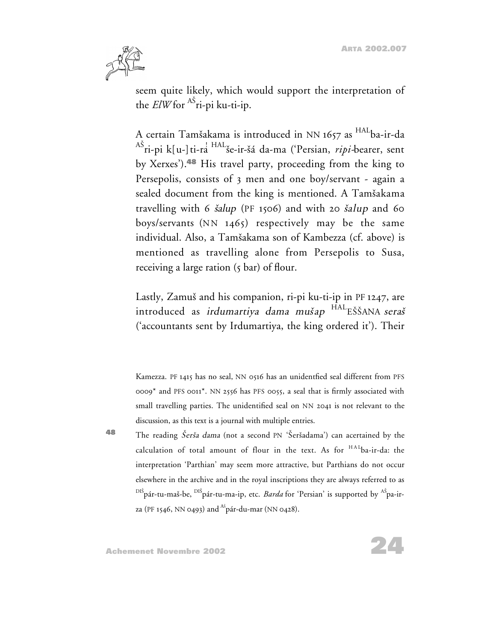**ARTA 2002.007**



seem quite likely, which would support the interpretation of the *ElW* for <sup>AS</sup>ri-pi ku-ti-ip.

A certain Tamšakama is introduced in NN 1657 as <sup>HAL</sup>ba-ir-da <sup>AS</sup>ri-pi k[u-]ti-ra<sup>' HAL</sup>še-ir-šá da-ma ('Persian, *ripi-*bearer, sent by Xerxes').**<sup>48</sup>** His travel party, proceeding from the king to Persepolis, consists of 3 men and one boy/servant - again a sealed document from the king is mentioned. A Tamšakama travelling with 6  $\delta$ alup (PF 1506) and with 20  $\delta$ alup and 60 boys/servants  $(NN 1465)$  respectively may be the same individual. Also, a Tamsakama son of Kambezza (cf. above) is mentioned as travelling alone from Persepolis to Susa, receiving a large ration (5 bar) of flour.

Lastly, Zamuš and his companion, ri-pi ku-ti-ip in PF 1247, are introduced as *irdumartiya dama mušap* <sup>HAL</sup>EŠŠANA *seraš* ('accountants sent by Irdumartiya, the king ordered it'). Their

Kamezza. PF 1415 has no seal, NN 0516 has an unidentfied seal different from PFS 0009\* and PFS 0011\*. NN 2556 has PFS 0055, a seal that is firmly associated with small travelling parties. The unidentified seal on NN 2041 is not relevant to the discussion, as this text is a journal with multiple entries.

**48** The reading *Šerša dama* (not a second PN 'Šeršadama') can acertained by the calculation of total amount of flour in the text. As for <sup>HAL</sup>ba-ir-da: the interpretation 'Parthian' may seem more attractive, but Parthians do not occur elsewhere in the archive and in the royal inscriptions they are always referred to as <sup>DIS</sup>pár-tu-maš-be, <sup>DIS</sup>pár-tu-ma-ip, etc. *Barda* for 'Persian' is supported by <sup>AS</sup>pa-irza (PF 1546, NN 0493) and <sup>Aš</sup>pár-du-mar (NN 0428).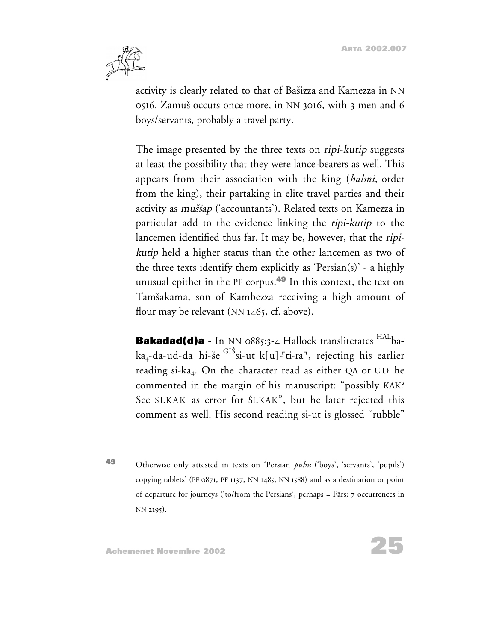

activity is clearly related to that of Basizza and Kamezza in NN 0516. Zamus occurs once more, in NN 3016, with 3 men and 6 boys/servants, probably a travel party.

The image presented by the three texts on *ripi-kutip* suggests at least the possibility that they were lance-bearers as well. This appears from their association with the king (*halmi*, order from the king), their partaking in elite travel parties and their activity as *muššap* ('accountants'). Related texts on Kamezza in particular add to the evidence linking the ripi-kutip to the lancemen identified thus far. It may be, however, that the ripikutip held a higher status than the other lancemen as two of the three texts identify them explicitly as 'Persian(s)' - a highly unusual epithet in the PF corpus.**<sup>49</sup>** In this context, the text on Tamsakama, son of Kambezza receiving a high amount of flour may be relevant (NN 1465, cf. above).

**Bakadad(d)a** - In NN 0885:3-4 Hallock transliterates <sup>HAL</sup>baka<sub>4</sub>-da-ud-da hi-še $^{\rm GIS}$ si-ut k[u]--ti-ra<sup>¬</sup>, rejecting his earlier reading si-ka<sub>4</sub>. On the character read as either QA or UD he commented in the margin of his manuscript: "possibly KAK? See SI.KAK as error for SI.KAK", but he later rejected this comment as well. His second reading si-ut is glossed "rubble"

**<sup>49</sup>** Otherwise only attested in texts on 'Persian *puhu* ('boys', 'servants', 'pupils') copying tablets' (PF 0871, PF 1137, NN 1485, NN 1588) and as a destination or point of departure for journeys ('to/from the Persians', perhaps = Fars; 7 occurrences in NN 2195).

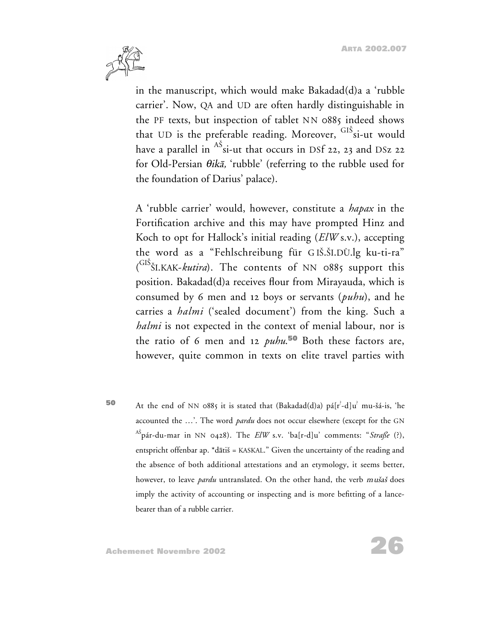

in the manuscript, which would make Bakadad(d)a a 'rubble carrier'. Now, QA and UD are often hardly distinguishable in the PF texts, but inspection of tablet NN 0885 indeed shows that UD is the preferable reading. Moreover, <sup>GIS</sup>si-ut would have a parallel in  $^{\rm AS}$ si-ut that occurs in DSf 22, 23 and DSz 22 for Old-Persian  $\theta$ ikā, 'rubble' (referring to the rubble used for the foundation of Darius' palace).

A 'rubble carrier' would, however, constitute a *hapax* in the Fortification archive and this may have prompted Hinz and Koch to opt for Hallock's initial reading (*ElW* s.v.), accepting the word as a "Fehlschreibung für GIŠ.ŠI.DÙ.lg ku-ti-ra" ( GIS SI.KAK-*kutira*). The contents of NN 0885 support this position. Bakadad(d)a receives flour from Mirayauda, which is consumed by 6 men and 12 boys or servants (*puhu*), and he carries a *halmi* ('sealed document') from the king. Such a *halmi* is not expected in the context of menial labour, nor is the ratio of 6 men and 12 *puhu*. **<sup>50</sup>** Both these factors are, however, quite common in texts on elite travel parties with

**50** At the end of NN 0885 it is stated that (Bakadad(d)a) pá[r<sup>?</sup>-d]u<sup>?</sup> mu-šá-is, 'he accounted the …'. The word *pardu* does not occur elsewhere (except for the GN AS pár-du-mar in NN 0428). The *ElW* s.v. 'ba[r-d]u' comments: "*Straße* (?), entspricht offenbar ap.  $*d\bar{a}t$  = KASKAL." Given the uncertainty of the reading and the absence of both additional attestations and an etymology, it seems better, however, to leave *pardu* untranslated. On the other hand, the verb *mušaš* does imply the activity of accounting or inspecting and is more befitting of a lancebearer than of a rubble carrier.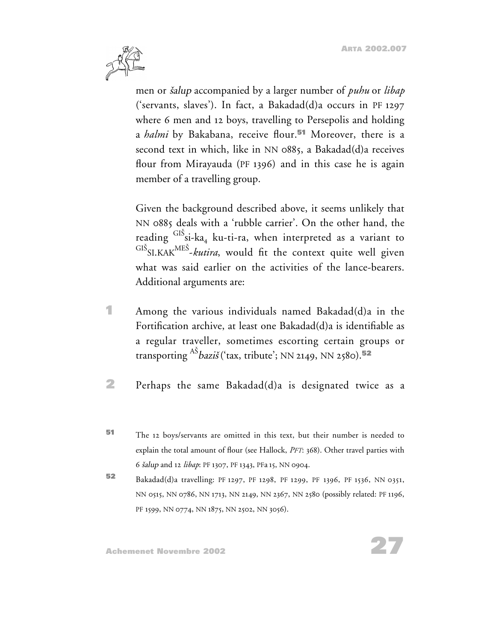

men or salup accompanied by a larger number of *puhu* or *libap* ('servants, slaves'). In fact, a Bakadad(d)a occurs in PF 1297 where 6 men and 12 boys, travelling to Persepolis and holding a *halmi* by Bakabana, receive flour.**<sup>51</sup>** Moreover, there is a second text in which, like in NN 0885, a Bakadad(d)a receives flour from Mirayauda (PF 1396) and in this case he is again member of a travelling group.

Given the background described above, it seems unlikely that NN 0885 deals with a 'rubble carrier'. On the other hand, the reading <sup>GIS</sup>si-ka<sub>4</sub> ku-ti-ra, when interpreted as a variant to <sup>GIS</sup>SI.KAK<sup>MES</sup>-kutira, would fit the context quite well given what was said earlier on the activities of the lance-bearers. Additional arguments are:

- **1** Among the various individuals named Bakadad(d)a in the Fortification archive, at least one Bakadad(d)a is identifiable as a regular traveller, sometimes escorting certain groups or transporting <sup>A</sup><sup>S</sup> bazi<sup>s</sup> ('tax, tribute'; NN 2149, NN 2580).**<sup>52</sup>**
- **2** Perhaps the same Bakadad(d)a is designated twice as a
- **<sup>51</sup>** The 12 boys/servants are omitted in this text, but their number is needed to explain the total amount of flour (see Hallock, *PFT*: 368). Other travel parties with 6 salup and 12 *libap*: PF 1307, PF 1343, PFa 15, NN 0904.
- **<sup>52</sup>** Bakadad(d)a travelling: PF 1297, PF 1298, PF 1299, PF 1396, PF 1536, NN 0351, NN 0515, NN 0786, NN 1713, NN 2149, NN 2367, NN 2580 (possibly related: PF 1196, PF 1599, NN 0774, NN 1875, NN 2502, NN 3056).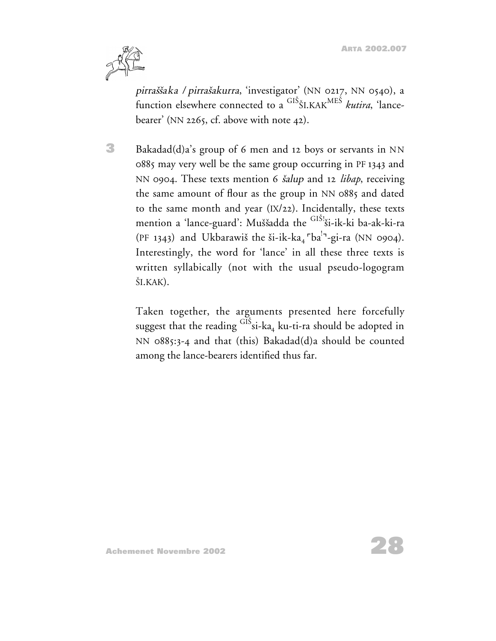

pirraššaka / pirrašakurra, 'investigator' (NN 0217, NN 0540), a function elsewhere connected to a GI<sup>S</sup> <sup>S</sup>I.KAKME<sup>S</sup> *kutira*, 'lancebearer' (NN 2265, cf. above with note 42).

**3** Bakadad(d)a's group of 6 men and 12 boys or servants in NN 0885 may very well be the same group occurring in PF 1343 and NN 0904. These texts mention 6 salup and 12 *libap*, receiving the same amount of flour as the group in NN 0885 and dated to the same month and year (IX/22). Incidentally, these texts mention a 'lance-guard': Muššadda the GIŠ! si-ik-ki ba-ak-ki-ra (PF 1343) and Ukbarawiš the ši-ik-ka<sub>4</sub> <sup>r</sup>ba<sup>!</sup><sup>-1</sup>-gi-ra (NN 0904). Interestingly, the word for 'lance' in all these three texts is written syllabically (not with the usual pseudo-logogram SI.KAK).

Taken together, the arguments presented here forcefully suggest that the reading  $^{\rm GIS}$ si-ka $_4$  ku-ti-ra should be adopted in NN 0885:3-4 and that (this) Bakadad(d)a should be counted among the lance-bearers identified thus far.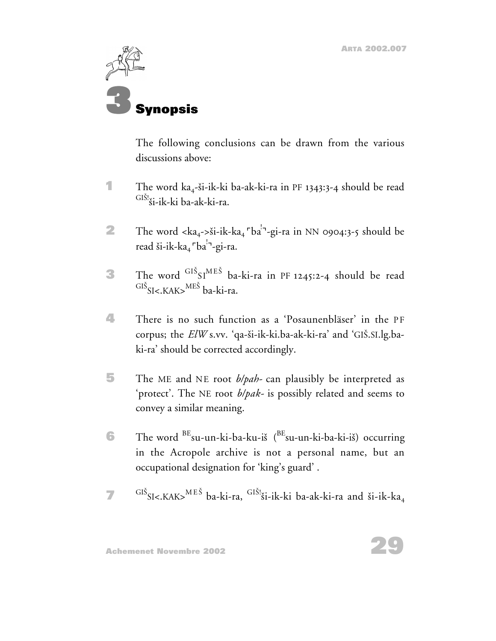

The following conclusions can be drawn from the various discussions above:

- **1** The word ka<sub>4</sub>-ši-ik-ki ba-ak-ki-ra in PF 1343:3-4 should be read  $GIS!_{si-ik-ki}$  ba-ak-ki-ra.
- **2** The word <ka<sub>4</sub>->ši-ik-ka<sub>4</sub>  $\sqrt{b}a^{1}$ -gi-ra in NN 0904:3-5 should be read ši-ik-ka<sub>4</sub> <sup>r</sup>ba<sup>!-</sup>-gi-ra.
- **3** The word <sup>GIS</sup>SI<sup>MES</sup> ba-ki-ra in PF 1245:2-4 should be read <sup>GIS</sup>SI<.KAK><sup>MES</sup> ba-ki-ra.
- **4** There is no such function as a 'Posaunenbläser' in the PF corpus; the *ElW* s.vv. 'qa-ši-ik-ki.ba-ak-ki-ra' and 'GIŠ.SI.lg.baki-ra' should be corrected accordingly.
- **5** The ME and NE root *b/pah-* can plausibly be interpreted as 'protect'. The NE root *b/pak-* is possibly related and seems to convey a similar meaning.
- **6** The word <sup>BE</sup>su-un-ki-ba-ku-iš (<sup>BE</sup>su-un-ki-ba-ki-iš) occurring in the Acropole archive is not a personal name, but an occupational designation for 'king's guard' .
- **7** GIS<sub>SI<</sub>,KAK><sup>MES</sup> ba-ki-ra, GIS!<sub>Si-ik-ki</sub> ba-ak-ki-ra and ši-ik-ka<sub>4</sub>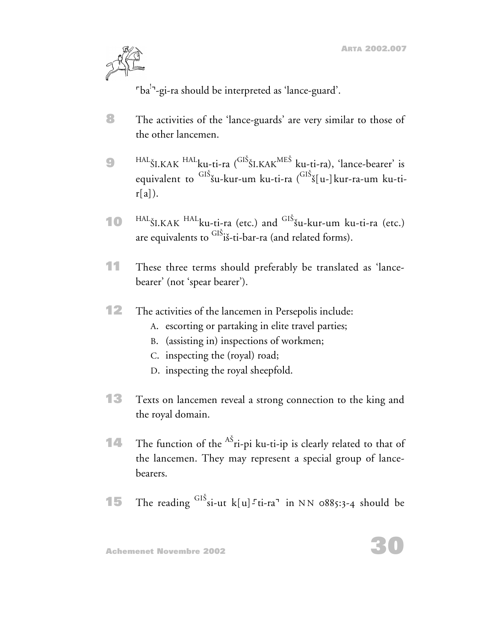

<sup>-</sup>ba<sup>!-</sup>-gi-ra should be interpreted as 'lance-guard'.

- **8** The activities of the 'lance-guards' are very similar to those of the other lancemen.
- **9** HAL<sub>ŠI.KAK</sub> HAL<sub>ku-ti-ra (<sup>GIS</sup>ŠI.KAK<sup>MES</sup> ku-ti-ra), 'lance-bearer' is</sub> equivalent to <sup>GIS</sup>šu-kur-um ku-ti-ra (<sup>GIS</sup>š[u-]kur-ra-um ku-ti $r[a]$ ).
- **10** HAL<sub>ŠI.KAK</sub> HAL<sub>ku-ti-ra (etc.) and <sup>GIS</sup>šu-kur-um ku-ti-ra (etc.)</sub> are equivalents to <sup>GIS</sup>iš-ti-bar-ra (and related forms).
- **11** These three terms should preferably be translated as 'lancebearer' (not 'spear bearer').
- **12** The activities of the lancemen in Persepolis include:
	- A. escorting or partaking in elite travel parties;
	- B. (assisting in) inspections of workmen;
	- C. inspecting the (royal) road;
	- D. inspecting the royal sheepfold.
- **13** Texts on lancemen reveal a strong connection to the king and the royal domain.
- **14** The function of the <sup>AS</sup>ri-pi ku-ti-ip is clearly related to that of the lancemen. They may represent a special group of lancebearers.
- **15** The reading <sup>GIS</sup> si-ut k[u]<sup>-</sup>ti-ra<sup>1</sup> in NN 0885:3-4 should be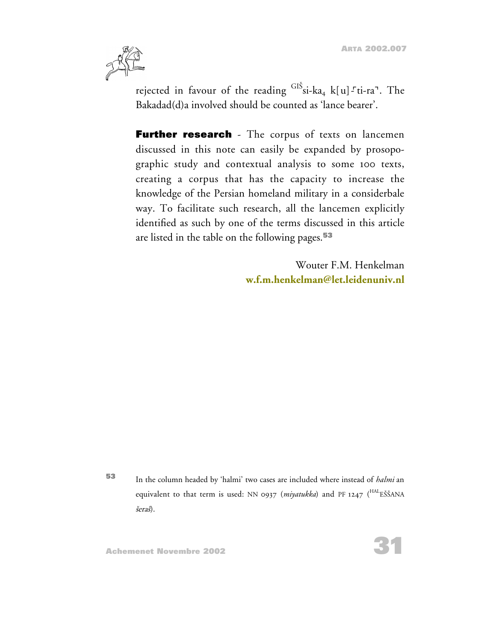

rejected in favour of the reading <sup>GIS</sup>si-ka<sub>4</sub> k[u]-<sup>-</sup>ti-ra<sup>-</sup>. The Bakadad(d)a involved should be counted as 'lance bearer'.

**Further research** - The corpus of texts on lancemen discussed in this note can easily be expanded by prosopographic study and contextual analysis to some 100 texts, creating a corpus that has the capacity to increase the knowledge of the Persian homeland military in a considerbale way. To facilitate such research, all the lancemen explicitly identified as such by one of the terms discussed in this article are listed in the table on the following pages.**<sup>53</sup>**

> Wouter F.M. Henkelman **[w.f.m.henkelman@let.leidenuniv.nl](mailto:w.f.m.henkelman@let.leidenuniv.nl)**

**<sup>53</sup>** In the column headed by 'halmi' two cases are included where instead of *halmi* an equivalent to that term is used: NN 0937 (*miyatukka*) and PF 1247 (<sup>HAL</sup>EŠŠANA <sup>s</sup>era<sup>s</sup>).

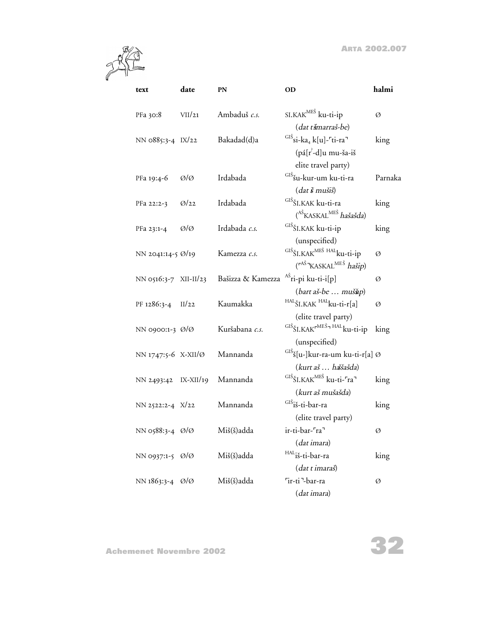

| text                  | date        | PN                | OD                                                                                 | halmi   |
|-----------------------|-------------|-------------------|------------------------------------------------------------------------------------|---------|
| PFa 30:8              | VII/21      | Ambaduš c.s.      | SI.KAK <sup>MEŠ</sup> ku-ti-ip                                                     | Ø       |
|                       |             |                   | (dat tšmarraš-be)                                                                  |         |
| NN 0885:3-4 IX/22     |             | Bakadad(d)a       | $\frac{GI\check{S}}{SI}$ si-ka <sub>4</sub> k[u]- <sup>r</sup> ti-ra <sup>-1</sup> | king    |
|                       |             |                   | $(pá[r^2-d]u mu-ša-iš)$                                                            |         |
|                       |             |                   | elite travel party)                                                                |         |
| PFa 19:4-6            | Ø/Ø         | Irdabada          | GIŠ <sub>šu-kur-um ku-ti-ra</sub>                                                  | Parnaka |
|                       |             |                   | (dat š mušiš)                                                                      |         |
| PFa 22:2-3            | Q/22        | Irdabada          | GIŠŠI.KAK ku-ti-ra                                                                 | king    |
|                       |             |                   | ( <sup>AŠ</sup> KASKAL <sup>MEŠ</sup> hašašda)                                     |         |
| PFa 23:1-4            | Ø/Ø         | Irdabada c.s.     | GIŠ ŠI.KAK ku-ti-ip                                                                | king    |
|                       |             |                   | (unspecified)                                                                      |         |
| NN 2041:14-5 Ø/19     |             | Kamezza c.s.      | GIŠ ŠI.KAK <sup>MEŠ HAL</sup> ku-ti-ip                                             | Ø       |
|                       |             |                   | $(\mathbf{r}^{A\check{S}}$ <sup>N</sup> KASKAL <sup>MEŠ</sup> hašip)               |         |
| NN 0516:3-7 XII-II/23 |             | Bašizza & Kamezza | <sup>AŠ</sup> ri-pi ku-ti-i[p]                                                     | Ø       |
|                       |             |                   | (bart aš-be  muššip)                                                               |         |
| PF 1286:3-4 II/22     |             | Kaumakka          | HAL <sub>ŠI</sub> , KAK HAL <sub>ku-ti-r[a]</sub>                                  | Ø       |
|                       |             |                   | (elite travel party)                                                               |         |
| NN 0900:1-3 Ø/Ø       |             | Kuršabana c.s.    | GIŠ ŠI. KAK <sup>rMEŠ</sup> <sup>1 HAL</sup> ku-ti-ip                              | king    |
|                       |             |                   | (unspecified)                                                                      |         |
| NN 1747:5-6 X-XII/Ø   |             | Mannanda          | <sup>GIŠ</sup> š[u-]kur-ra-um ku-ti-r[a] Ø                                         |         |
|                       |             |                   | (kurt aš  haššašda)                                                                |         |
| NN 2493:42            | $IX-XII/19$ | Mannanda          | <sup>GIŠ</sup> ŠI.KAK <sup>MEŠ</sup> ku-ti- <sup>r</sup> ra <sup>-1</sup>          | king    |
|                       |             |                   | (kurt aš mušašda)                                                                  |         |
| NN 2522:2-4 X/22      |             | Mannanda          | <sup>GIŠ</sup> iš-ti-bar-ra                                                        | king    |
|                       |             |                   | (elite travel party)                                                               |         |
| NN 0588:3-4 0/0       |             | Miš(š)adda        | ir-ti-bar- <sup>ra</sup>                                                           | Ø       |
|                       |             |                   | (dat imara)                                                                        |         |
| NN 0937:1-5 0/0       |             | Miš(š)adda        | <sup>HAL</sup> iš-ti-bar-ra                                                        | king    |
|                       |             |                   | (dat t imaraš)                                                                     |         |
| NN 1863:3-4 0/0       |             | Miš(š)adda        | Tir-ti <sup>-1</sup> -bar-ra                                                       | Ø       |
|                       |             |                   | (dat imara)                                                                        |         |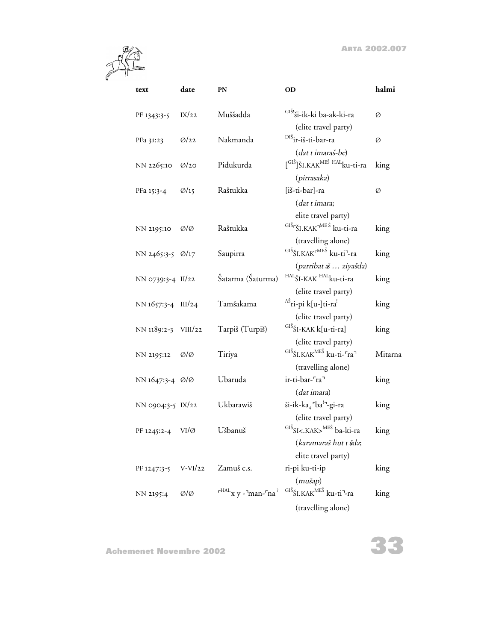

| text                | date              | PN                | OD                                                                                                           | halmi   |
|---------------------|-------------------|-------------------|--------------------------------------------------------------------------------------------------------------|---------|
| PF 1343:3-5         | IX/22             | Muššadda          | <sup>GIŠ!</sup> ši-ik-ki ba-ak-ki-ra<br>(elite travel party)                                                 | Ø       |
| PFa 31:23           | Q/22              | Nakmanda          | <sup>DIŠ</sup> ir-iš-ti-bar-ra<br>(dat t imaraš-be)                                                          | Ø       |
| NN 2265:10          | Q/2Q              | Pidukurda         | $\int$ <sup>GIŠ</sup> ]ŠI.KAK <sup>MEŠ HAL</sup> ku-ti-ra<br>(pirrasaka)                                     | king    |
| PFa 15:3-4          | $\varnothing$ /15 | Raštukka          | [iš-ti-bar]-ra<br>(dat t imara;                                                                              | Ø       |
| NN 2195:10          | Ø/Ø               | Raštukka          | elite travel party)<br><sup>GIŠ</sup> <sup>SI</sup> .KAK <sup>-MEŠ</sup> ku-ti-ra<br>(travelling alone)      | king    |
| NN 2465:3-5 Ø/17    |                   | Saupirra          | <sup>GIŠ</sup> ŠI.KAK <sup>rMEŠ</sup> ku-ti <sup>¬</sup> -ra<br>(parribat a  ziyašda)                        | king    |
| NN 0739:3-4 II/22   |                   | Šatarma (Šaturma) | HALŠI-KAK HALku-ti-ra<br>(elite travel party)                                                                | king    |
| NN 1657:3-4 III/24  |                   | Tamšakama         | <sup>AŠ</sup> ri-pi k[u-]ti-ra <sup>!</sup><br>(elite travel party)                                          | king    |
| NN 1189:2-3 VIII/22 |                   | Tarpiš (Turpiš)   | <sup>GIŠ</sup> ŠI-KAK k[u-ti-ra]<br>(elite travel party)                                                     | king    |
| NN 2195:12          | Ø/Ø               | Tiriya            | GIŠ ŠI.KAK <sup>MEŠ</sup> ku-ti- <sup>r</sup> ra <sup>-1</sup><br>(travelling alone)                         | Mitarna |
| NN 1647:3-4 0/0     |                   | Ubaruda           | ir-ti-bar- <sup>ra</sup><br>(dat imara)                                                                      | king    |
| NN 0904:3-5 IX/22   |                   | Ukbarawiš         | ši-ik-ka <sub>4</sub> <sup>r</sup> ba <sup>1</sup> -gi-ra<br>(elite travel party)                            | king    |
| PF 1245:2-4         | $VI/\emptyset$    | Ušbanuš           | GIŠSI<.KAK> <sup>MEŠ</sup> ba-ki-ra<br>(karamaraš hut t šda;<br>elite travel party)                          | king    |
| PF 1247:3-5         | $V-VI/22$         | Zamuš c.s.        | ri-pi ku-ti-ip<br>$(mu\check{s}ap)$                                                                          | king    |
| NN 2195:4           | ØlØ               |                   | $r^{HAL}$ x y - man- $ra^?$ $GI\ddot{S}$ SI.KAK $^{ME\ddot{S}}$ ku-ti <sup>-</sup> -ra<br>(travelling alone) | king    |

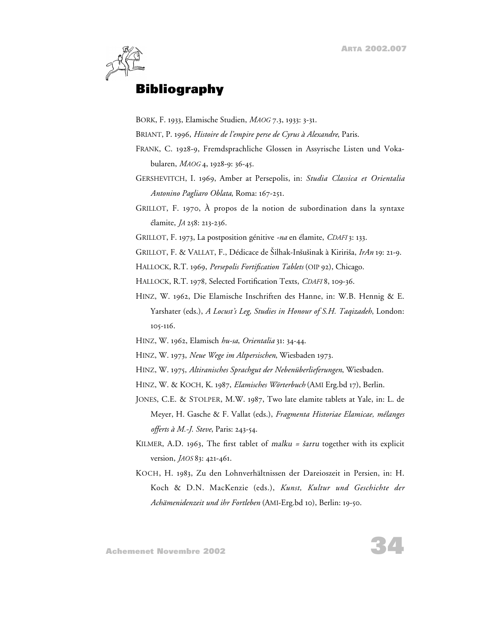

# **Bibliography**

BORK, F. 1933, Elamische Studien, *MAOG* 7.3, 1933: 3-31.

BRIANT, P. 1996, *Histoire de l'empire perse de Cyrus à Alexandre*, Paris.

- FRANK, C. 1928-9, Fremdsprachliche Glossen in Assyrische Listen und Vokabularen, *MAOG* 4, 1928-9: 36-45.
- GERSHEVITCH, I. 1969, Amber at Persepolis, in: *Studia Classica et Orientalia Antonino Pagliaro Oblata*, Roma: 167-251.
- GRILLOT, F. 1970, À propos de la notion de subordination dans la syntaxe élamite, *JA* 258: 213-236.

GRILLOT, F. 1973, La postposition génitive *-na* en élamite, *CDAFI* 3: 133.

GRILLOT, F. & VALLAT, F., Dédicace de Silhak-Insusinak à Kiririsa, *IrAn* 19: 21-9.

HALLOCK, R.T. 1969, *Persepolis Fortification Tablets* (OIP 92), Chicago.

HALLOCK, R.T. 1978*,* Selected Fortification Texts, *CDAFI* 8, 109-36.

HINZ, W. 1962, Die Elamische Inschriften des Hanne, in: W.B. Hennig & E. Yarshater (eds.), *A Locust's Leg, Studies in Honour of S.H. Taqizadeh*, London: 105-116.

HINZ, W. 1962, Elamisch *hu-sa*, *Orientalia* 31: 34-44.

HINZ, W. 1973, *Neue Wege im Altpersischen*, Wiesbaden 1973.

- HINZ, W. 1975, *Altiranisches Sprachgut der Nebenüberlieferungen*, Wiesbaden.
- HINZ, W. & KOCH, K. 1987, *Elamisches Wörterbuch* (AMI Erg.bd 17), Berlin.
- JONES, C.E. & STOLPER, M.W. 1987, Two late elamite tablets at Yale, in: L. de Meyer, H. Gasche & F. Vallat (eds.), *Fragmenta Historiae Elamicae, mélanges offerts à M.-J. Steve*, Paris: 243-54.
- KILMER, A.D. 1963, The first tablet of *malku* =  $\delta$ *arru* together with its explicit version, *JAOS* 83: 421-461.
- KOCH, H. 1983, Zu den Lohnverhältnissen der Dareioszeit in Persien, in: H. Koch & D.N. MacKenzie (eds.), *Kunst, Kultur und Geschichte der Achämenidenzeit und ihr Fortleben* (AMI-Erg.bd 10), Berlin: 19-50.